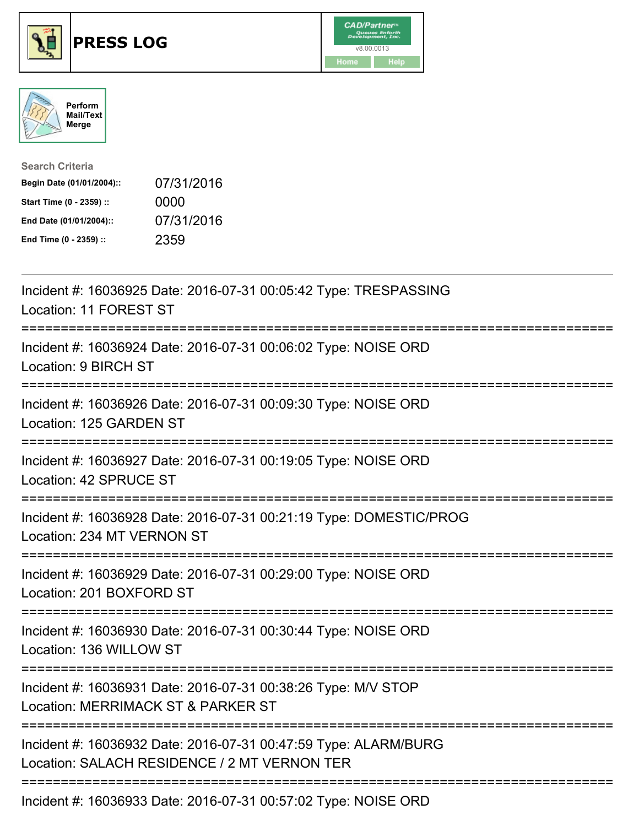





| <b>Search Criteria</b>    |            |
|---------------------------|------------|
| Begin Date (01/01/2004):: | 07/31/2016 |
| Start Time (0 - 2359) ::  | 0000       |
| End Date (01/01/2004)::   | 07/31/2016 |
| End Time (0 - 2359) ::    | 2359       |

| Incident #: 16036925 Date: 2016-07-31 00:05:42 Type: TRESPASSING<br>Location: 11 FOREST ST                                                          |
|-----------------------------------------------------------------------------------------------------------------------------------------------------|
| Incident #: 16036924 Date: 2016-07-31 00:06:02 Type: NOISE ORD<br>Location: 9 BIRCH ST                                                              |
| Incident #: 16036926 Date: 2016-07-31 00:09:30 Type: NOISE ORD<br>Location: 125 GARDEN ST<br>-----------------                                      |
| Incident #: 16036927 Date: 2016-07-31 00:19:05 Type: NOISE ORD<br>Location: 42 SPRUCE ST<br>------------------                                      |
| Incident #: 16036928 Date: 2016-07-31 00:21:19 Type: DOMESTIC/PROG<br>Location: 234 MT VERNON ST<br>================                                |
| Incident #: 16036929 Date: 2016-07-31 00:29:00 Type: NOISE ORD<br>Location: 201 BOXFORD ST                                                          |
| Incident #: 16036930 Date: 2016-07-31 00:30:44 Type: NOISE ORD<br>Location: 136 WILLOW ST<br>====================================                   |
| Incident #: 16036931 Date: 2016-07-31 00:38:26 Type: M/V STOP<br>Location: MERRIMACK ST & PARKER ST                                                 |
| Incident #: 16036932 Date: 2016-07-31 00:47:59 Type: ALARM/BURG<br>Location: SALACH RESIDENCE / 2 MT VERNON TER<br>-------------------------------- |
| Incident #: 16036933 Date: 2016-07-31 00:57:02 Type: NOISE ORD                                                                                      |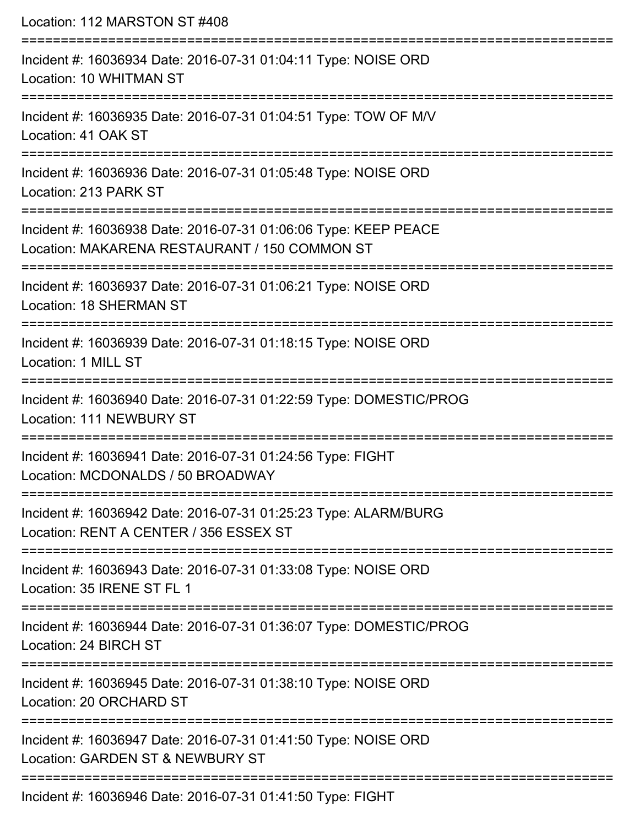Location: 112 MARSTON ST #408 =========================================================================== Incident #: 16036934 Date: 2016-07-31 01:04:11 Type: NOISE ORD Location: 10 WHITMAN ST =========================================================================== Incident #: 16036935 Date: 2016-07-31 01:04:51 Type: TOW OF M/V Location: 41 OAK ST

===========================================================================

Incident #: 16036936 Date: 2016-07-31 01:05:48 Type: NOISE ORD

Location: 213 PARK ST

===========================================================================

Incident #: 16036938 Date: 2016-07-31 01:06:06 Type: KEEP PEACE Location: MAKARENA RESTAURANT / 150 COMMON ST

===========================================================================

Incident #: 16036937 Date: 2016-07-31 01:06:21 Type: NOISE ORD

Location: 18 SHERMAN ST

===========================================================================

Incident #: 16036939 Date: 2016-07-31 01:18:15 Type: NOISE ORD

Location: 1 MILL ST

===========================================================================

Incident #: 16036940 Date: 2016-07-31 01:22:59 Type: DOMESTIC/PROG Location: 111 NEWBURY ST

===========================================================================

Incident #: 16036941 Date: 2016-07-31 01:24:56 Type: FIGHT

Location: MCDONALDS / 50 BROADWAY

===========================================================================

Incident #: 16036942 Date: 2016-07-31 01:25:23 Type: ALARM/BURG Location: RENT A CENTER / 356 ESSEX ST

===========================================================================

Incident #: 16036943 Date: 2016-07-31 01:33:08 Type: NOISE ORD Location: 35 IRENE ST FL 1

===========================================================================

Incident #: 16036944 Date: 2016-07-31 01:36:07 Type: DOMESTIC/PROG Location: 24 BIRCH ST

===========================================================================

Incident #: 16036945 Date: 2016-07-31 01:38:10 Type: NOISE ORD

Location: 20 ORCHARD ST

===========================================================================

Incident #: 16036947 Date: 2016-07-31 01:41:50 Type: NOISE ORD

Location: GARDEN ST & NEWBURY ST

===========================================================================

Incident #: 16036946 Date: 2016-07-31 01:41:50 Type: FIGHT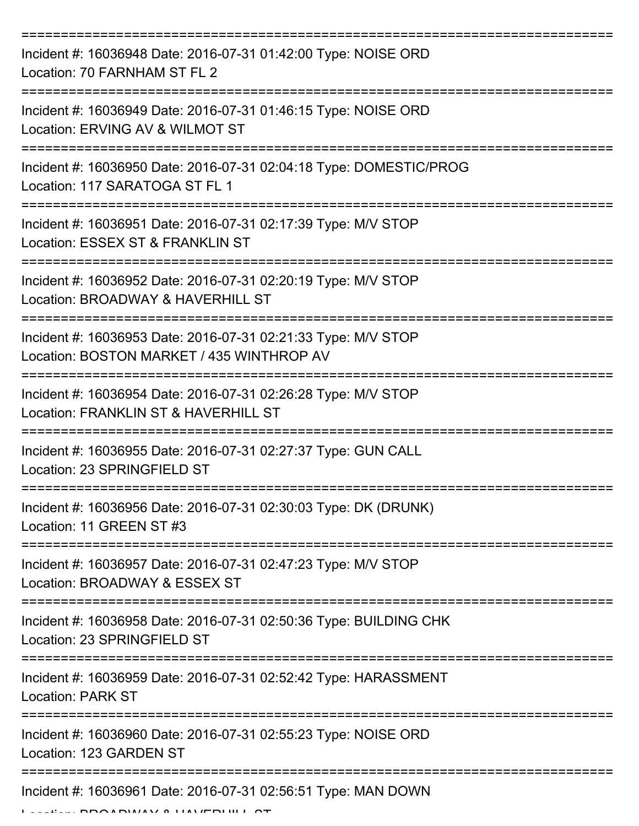| Incident #: 16036948 Date: 2016-07-31 01:42:00 Type: NOISE ORD<br>Location: 70 FARNHAM ST FL 2             |
|------------------------------------------------------------------------------------------------------------|
| Incident #: 16036949 Date: 2016-07-31 01:46:15 Type: NOISE ORD<br>Location: ERVING AV & WILMOT ST          |
| Incident #: 16036950 Date: 2016-07-31 02:04:18 Type: DOMESTIC/PROG<br>Location: 117 SARATOGA ST FL 1       |
| Incident #: 16036951 Date: 2016-07-31 02:17:39 Type: M/V STOP<br>Location: ESSEX ST & FRANKLIN ST          |
| Incident #: 16036952 Date: 2016-07-31 02:20:19 Type: M/V STOP<br>Location: BROADWAY & HAVERHILL ST         |
| Incident #: 16036953 Date: 2016-07-31 02:21:33 Type: M/V STOP<br>Location: BOSTON MARKET / 435 WINTHROP AV |
| Incident #: 16036954 Date: 2016-07-31 02:26:28 Type: M/V STOP<br>Location: FRANKLIN ST & HAVERHILL ST      |
| Incident #: 16036955 Date: 2016-07-31 02:27:37 Type: GUN CALL<br>Location: 23 SPRINGFIELD ST               |
| Incident #: 16036956 Date: 2016-07-31 02:30:03 Type: DK (DRUNK)<br>Location: 11 GREEN ST #3                |
| Incident #: 16036957 Date: 2016-07-31 02:47:23 Type: M/V STOP<br>Location: BROADWAY & ESSEX ST             |
| Incident #: 16036958 Date: 2016-07-31 02:50:36 Type: BUILDING CHK<br>Location: 23 SPRINGFIELD ST           |
| Incident #: 16036959 Date: 2016-07-31 02:52:42 Type: HARASSMENT<br><b>Location: PARK ST</b>                |
| Incident #: 16036960 Date: 2016-07-31 02:55:23 Type: NOISE ORD<br>Location: 123 GARDEN ST                  |
| Incident #: 16036961 Date: 2016-07-31 02:56:51 Type: MAN DOWN                                              |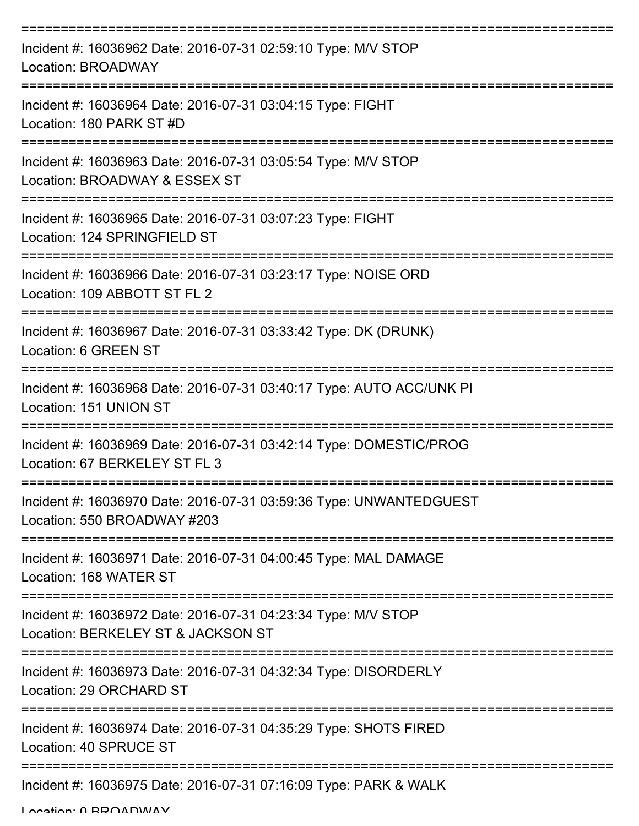| Incident #: 16036962 Date: 2016-07-31 02:59:10 Type: M/V STOP<br>Location: BROADWAY                 |
|-----------------------------------------------------------------------------------------------------|
| Incident #: 16036964 Date: 2016-07-31 03:04:15 Type: FIGHT<br>Location: 180 PARK ST #D              |
| Incident #: 16036963 Date: 2016-07-31 03:05:54 Type: M/V STOP<br>Location: BROADWAY & ESSEX ST      |
| Incident #: 16036965 Date: 2016-07-31 03:07:23 Type: FIGHT<br>Location: 124 SPRINGFIELD ST          |
| Incident #: 16036966 Date: 2016-07-31 03:23:17 Type: NOISE ORD<br>Location: 109 ABBOTT ST FL 2      |
| Incident #: 16036967 Date: 2016-07-31 03:33:42 Type: DK (DRUNK)<br>Location: 6 GREEN ST             |
| Incident #: 16036968 Date: 2016-07-31 03:40:17 Type: AUTO ACC/UNK PI<br>Location: 151 UNION ST      |
| Incident #: 16036969 Date: 2016-07-31 03:42:14 Type: DOMESTIC/PROG<br>Location: 67 BERKELEY ST FL 3 |
| Incident #: 16036970 Date: 2016-07-31 03:59:36 Type: UNWANTEDGUEST<br>Location: 550 BROADWAY #203   |
| Incident #: 16036971 Date: 2016-07-31 04:00:45 Type: MAL DAMAGE<br>Location: 168 WATER ST           |
| Incident #: 16036972 Date: 2016-07-31 04:23:34 Type: M/V STOP<br>Location: BERKELEY ST & JACKSON ST |
| Incident #: 16036973 Date: 2016-07-31 04:32:34 Type: DISORDERLY<br>Location: 29 ORCHARD ST          |
| Incident #: 16036974 Date: 2016-07-31 04:35:29 Type: SHOTS FIRED<br>Location: 40 SPRUCE ST          |
| Incident #: 16036975 Date: 2016-07-31 07:16:09 Type: PARK & WALK                                    |

Location: 0 BROADWAY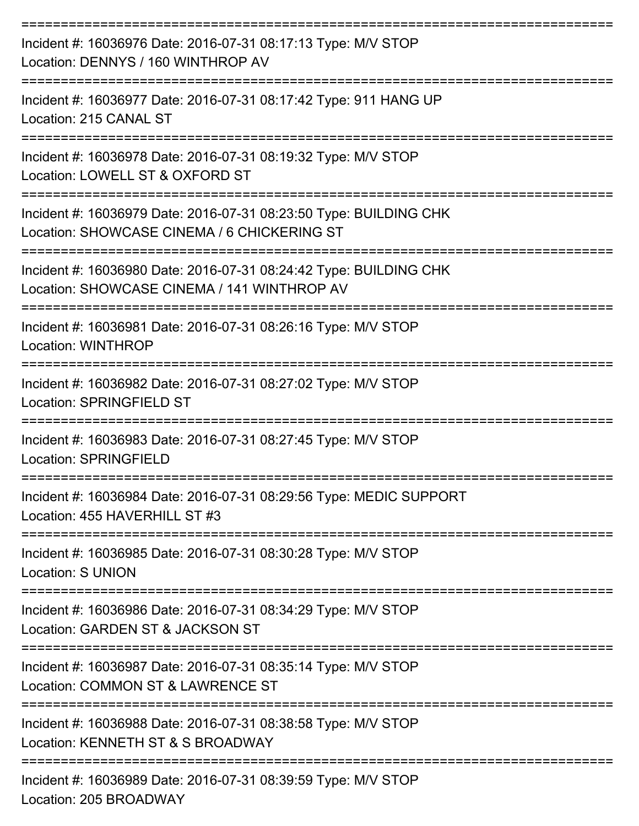| Incident #: 16036976 Date: 2016-07-31 08:17:13 Type: M/V STOP<br>Location: DENNYS / 160 WINTHROP AV              |
|------------------------------------------------------------------------------------------------------------------|
| Incident #: 16036977 Date: 2016-07-31 08:17:42 Type: 911 HANG UP<br>Location: 215 CANAL ST                       |
| Incident #: 16036978 Date: 2016-07-31 08:19:32 Type: M/V STOP<br>Location: LOWELL ST & OXFORD ST                 |
| Incident #: 16036979 Date: 2016-07-31 08:23:50 Type: BUILDING CHK<br>Location: SHOWCASE CINEMA / 6 CHICKERING ST |
| Incident #: 16036980 Date: 2016-07-31 08:24:42 Type: BUILDING CHK<br>Location: SHOWCASE CINEMA / 141 WINTHROP AV |
| Incident #: 16036981 Date: 2016-07-31 08:26:16 Type: M/V STOP<br>Location: WINTHROP                              |
| Incident #: 16036982 Date: 2016-07-31 08:27:02 Type: M/V STOP<br><b>Location: SPRINGFIELD ST</b>                 |
| Incident #: 16036983 Date: 2016-07-31 08:27:45 Type: M/V STOP<br>Location: SPRINGFIELD                           |
| Incident #: 16036984 Date: 2016-07-31 08:29:56 Type: MEDIC SUPPORT<br>Location: 455 HAVERHILL ST #3              |
| Incident #: 16036985 Date: 2016-07-31 08:30:28 Type: M/V STOP<br><b>Location: S UNION</b>                        |
| Incident #: 16036986 Date: 2016-07-31 08:34:29 Type: M/V STOP<br>Location: GARDEN ST & JACKSON ST                |
| Incident #: 16036987 Date: 2016-07-31 08:35:14 Type: M/V STOP<br>Location: COMMON ST & LAWRENCE ST               |
| Incident #: 16036988 Date: 2016-07-31 08:38:58 Type: M/V STOP<br>Location: KENNETH ST & S BROADWAY               |
| Incident #: 16036989 Date: 2016-07-31 08:39:59 Type: M/V STOP                                                    |

Location: 205 BROADWAY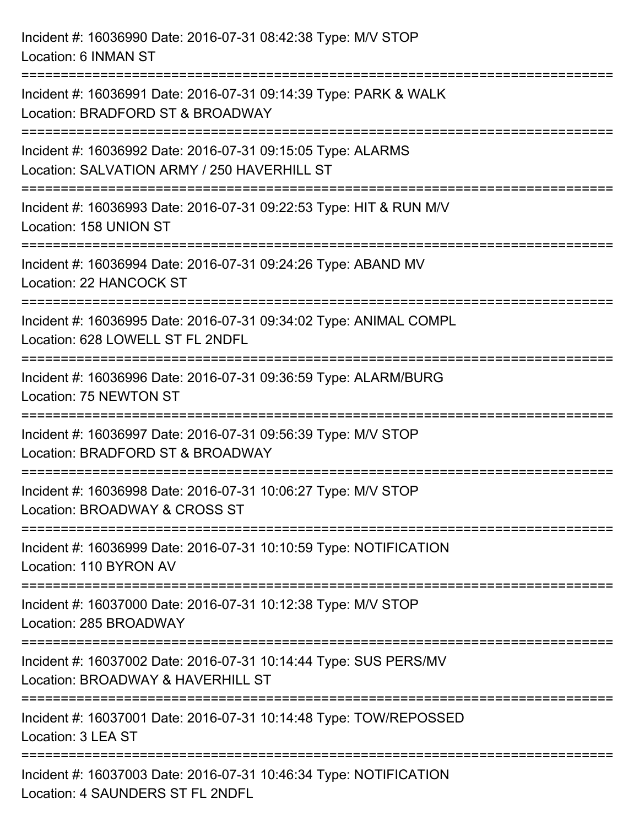Incident #: 16036990 Date: 2016-07-31 08:42:38 Type: M/V STOP Location: 6 INMAN ST =========================================================================== Incident #: 16036991 Date: 2016-07-31 09:14:39 Type: PARK & WALK Location: BRADFORD ST & BROADWAY =========================================================================== Incident #: 16036992 Date: 2016-07-31 09:15:05 Type: ALARMS Location: SALVATION ARMY / 250 HAVERHILL ST =========================================================================== Incident #: 16036993 Date: 2016-07-31 09:22:53 Type: HIT & RUN M/V Location: 158 UNION ST =========================================================================== Incident #: 16036994 Date: 2016-07-31 09:24:26 Type: ABAND MV Location: 22 HANCOCK ST =========================================================================== Incident #: 16036995 Date: 2016-07-31 09:34:02 Type: ANIMAL COMPL Location: 628 LOWELL ST FL 2NDFL =========================================================================== Incident #: 16036996 Date: 2016-07-31 09:36:59 Type: ALARM/BURG Location: 75 NEWTON ST =========================================================================== Incident #: 16036997 Date: 2016-07-31 09:56:39 Type: M/V STOP Location: BRADFORD ST & BROADWAY =========================================================================== Incident #: 16036998 Date: 2016-07-31 10:06:27 Type: M/V STOP Location: BROADWAY & CROSS ST =========================================================================== Incident #: 16036999 Date: 2016-07-31 10:10:59 Type: NOTIFICATION Location: 110 BYRON AV =========================================================================== Incident #: 16037000 Date: 2016-07-31 10:12:38 Type: M/V STOP Location: 285 BROADWAY =========================================================================== Incident #: 16037002 Date: 2016-07-31 10:14:44 Type: SUS PERS/MV Location: BROADWAY & HAVERHILL ST =========================================================================== Incident #: 16037001 Date: 2016-07-31 10:14:48 Type: TOW/REPOSSED Location: 3 LEA ST =========================================================================== Incident #: 16037003 Date: 2016-07-31 10:46:34 Type: NOTIFICATION Location: 4 SAUNDERS ST FL 2NDFL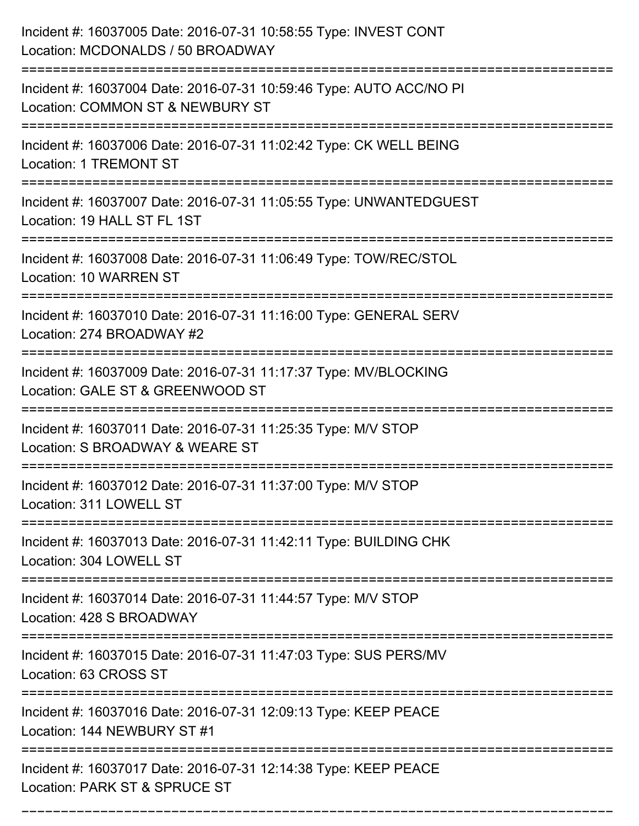| Incident #: 16037005 Date: 2016-07-31 10:58:55 Type: INVEST CONT<br>Location: MCDONALDS / 50 BROADWAY   |
|---------------------------------------------------------------------------------------------------------|
| Incident #: 16037004 Date: 2016-07-31 10:59:46 Type: AUTO ACC/NO PI<br>Location: COMMON ST & NEWBURY ST |
| Incident #: 16037006 Date: 2016-07-31 11:02:42 Type: CK WELL BEING<br><b>Location: 1 TREMONT ST</b>     |
| Incident #: 16037007 Date: 2016-07-31 11:05:55 Type: UNWANTEDGUEST<br>Location: 19 HALL ST FL 1ST       |
| Incident #: 16037008 Date: 2016-07-31 11:06:49 Type: TOW/REC/STOL<br>Location: 10 WARREN ST             |
| Incident #: 16037010 Date: 2016-07-31 11:16:00 Type: GENERAL SERV<br>Location: 274 BROADWAY #2          |
| Incident #: 16037009 Date: 2016-07-31 11:17:37 Type: MV/BLOCKING<br>Location: GALE ST & GREENWOOD ST    |
| Incident #: 16037011 Date: 2016-07-31 11:25:35 Type: M/V STOP<br>Location: S BROADWAY & WEARE ST        |
| Incident #: 16037012 Date: 2016-07-31 11:37:00 Type: M/V STOP<br>Location: 311 LOWELL ST                |
| Incident #: 16037013 Date: 2016-07-31 11:42:11 Type: BUILDING CHK<br>Location: 304 LOWELL ST            |
| Incident #: 16037014 Date: 2016-07-31 11:44:57 Type: M/V STOP<br>Location: 428 S BROADWAY               |
| Incident #: 16037015 Date: 2016-07-31 11:47:03 Type: SUS PERS/MV<br>Location: 63 CROSS ST               |
| Incident #: 16037016 Date: 2016-07-31 12:09:13 Type: KEEP PEACE<br>Location: 144 NEWBURY ST #1          |
| Incident #: 16037017 Date: 2016-07-31 12:14:38 Type: KEEP PEACE<br>Location: PARK ST & SPRUCE ST        |

===========================================================================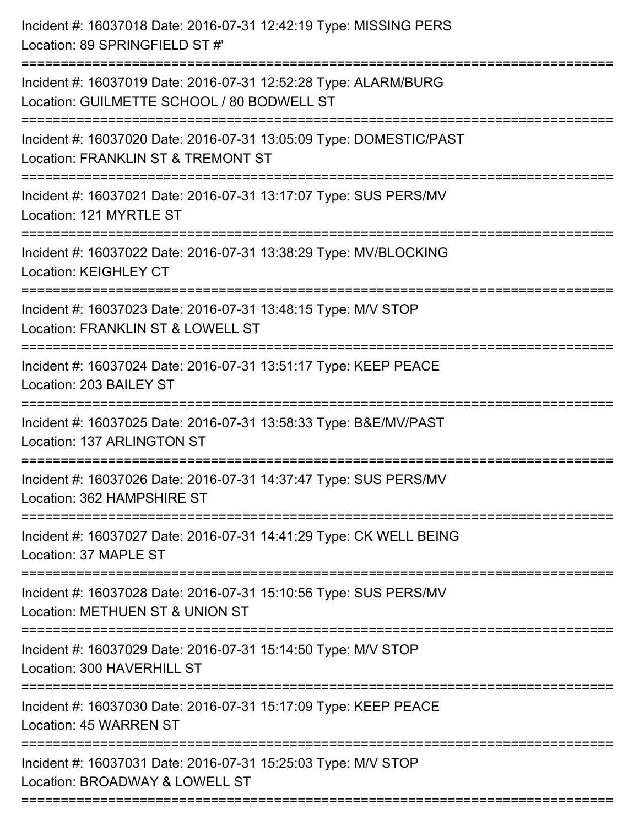| Incident #: 16037018 Date: 2016-07-31 12:42:19 Type: MISSING PERS<br>Location: 89 SPRINGFIELD ST#'                             |
|--------------------------------------------------------------------------------------------------------------------------------|
| Incident #: 16037019 Date: 2016-07-31 12:52:28 Type: ALARM/BURG<br>Location: GUILMETTE SCHOOL / 80 BODWELL ST                  |
| Incident #: 16037020 Date: 2016-07-31 13:05:09 Type: DOMESTIC/PAST<br>Location: FRANKLIN ST & TREMONT ST                       |
| Incident #: 16037021 Date: 2016-07-31 13:17:07 Type: SUS PERS/MV<br>Location: 121 MYRTLE ST                                    |
| Incident #: 16037022 Date: 2016-07-31 13:38:29 Type: MV/BLOCKING<br>Location: KEIGHLEY CT                                      |
| Incident #: 16037023 Date: 2016-07-31 13:48:15 Type: M/V STOP<br>Location: FRANKLIN ST & LOWELL ST                             |
| Incident #: 16037024 Date: 2016-07-31 13:51:17 Type: KEEP PEACE<br>Location: 203 BAILEY ST<br>:=============================== |
| Incident #: 16037025 Date: 2016-07-31 13:58:33 Type: B&E/MV/PAST<br>Location: 137 ARLINGTON ST                                 |
| Incident #: 16037026 Date: 2016-07-31 14:37:47 Type: SUS PERS/MV<br>Location: 362 HAMPSHIRE ST                                 |
| =================<br>Incident #: 16037027 Date: 2016-07-31 14:41:29 Type: CK WELL BEING<br>Location: 37 MAPLE ST               |
| Incident #: 16037028 Date: 2016-07-31 15:10:56 Type: SUS PERS/MV<br>Location: METHUEN ST & UNION ST                            |
| Incident #: 16037029 Date: 2016-07-31 15:14:50 Type: M/V STOP<br>Location: 300 HAVERHILL ST                                    |
| Incident #: 16037030 Date: 2016-07-31 15:17:09 Type: KEEP PEACE<br>Location: 45 WARREN ST                                      |
| Incident #: 16037031 Date: 2016-07-31 15:25:03 Type: M/V STOP<br>Location: BROADWAY & LOWELL ST                                |
|                                                                                                                                |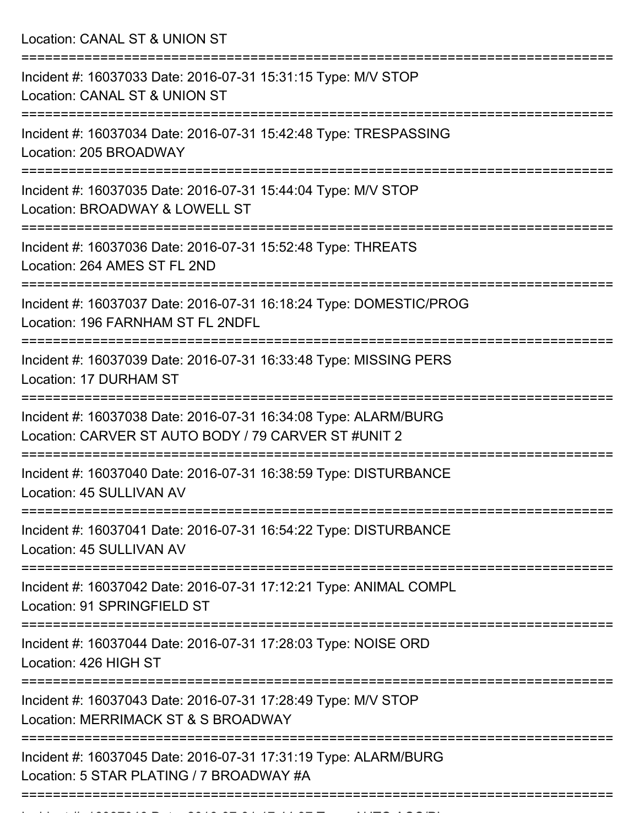Location: CANAL ST & UNION ST

| Incident #: 16037033 Date: 2016-07-31 15:31:15 Type: M/V STOP<br>Location: CANAL ST & UNION ST                          |
|-------------------------------------------------------------------------------------------------------------------------|
| Incident #: 16037034 Date: 2016-07-31 15:42:48 Type: TRESPASSING<br>Location: 205 BROADWAY                              |
| Incident #: 16037035 Date: 2016-07-31 15:44:04 Type: M/V STOP<br>Location: BROADWAY & LOWELL ST                         |
| Incident #: 16037036 Date: 2016-07-31 15:52:48 Type: THREATS<br>Location: 264 AMES ST FL 2ND                            |
| Incident #: 16037037 Date: 2016-07-31 16:18:24 Type: DOMESTIC/PROG<br>Location: 196 FARNHAM ST FL 2NDFL                 |
| Incident #: 16037039 Date: 2016-07-31 16:33:48 Type: MISSING PERS<br>Location: 17 DURHAM ST                             |
| Incident #: 16037038 Date: 2016-07-31 16:34:08 Type: ALARM/BURG<br>Location: CARVER ST AUTO BODY / 79 CARVER ST #UNIT 2 |
| Incident #: 16037040 Date: 2016-07-31 16:38:59 Type: DISTURBANCE<br>Location: 45 SULLIVAN AV                            |
| Incident #: 16037041 Date: 2016-07-31 16:54:22 Type: DISTURBANCE<br>Location: 45 SULLIVAN AV                            |
| :================<br>Incident #: 16037042 Date: 2016-07-31 17:12:21 Type: ANIMAL COMPL<br>Location: 91 SPRINGFIELD ST   |
| Incident #: 16037044 Date: 2016-07-31 17:28:03 Type: NOISE ORD<br>Location: 426 HIGH ST                                 |
| Incident #: 16037043 Date: 2016-07-31 17:28:49 Type: M/V STOP<br>Location: MERRIMACK ST & S BROADWAY                    |
| Incident #: 16037045 Date: 2016-07-31 17:31:19 Type: ALARM/BURG<br>Location: 5 STAR PLATING / 7 BROADWAY #A             |
|                                                                                                                         |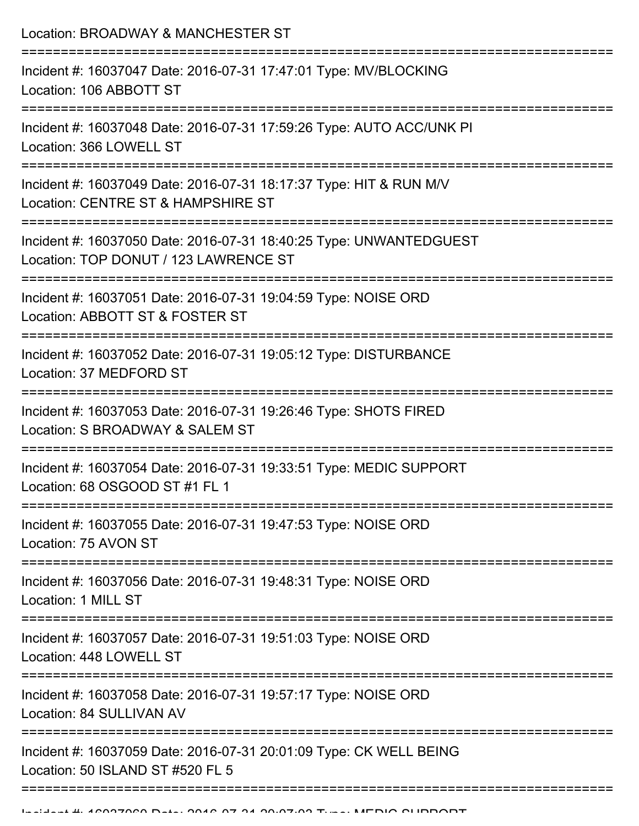| Location: BROADWAY & MANCHESTER ST<br>:======================                                               |
|-------------------------------------------------------------------------------------------------------------|
| Incident #: 16037047 Date: 2016-07-31 17:47:01 Type: MV/BLOCKING<br>Location: 106 ABBOTT ST                 |
| Incident #: 16037048 Date: 2016-07-31 17:59:26 Type: AUTO ACC/UNK PI<br>Location: 366 LOWELL ST             |
| Incident #: 16037049 Date: 2016-07-31 18:17:37 Type: HIT & RUN M/V<br>Location: CENTRE ST & HAMPSHIRE ST    |
| Incident #: 16037050 Date: 2016-07-31 18:40:25 Type: UNWANTEDGUEST<br>Location: TOP DONUT / 123 LAWRENCE ST |
| Incident #: 16037051 Date: 2016-07-31 19:04:59 Type: NOISE ORD<br>Location: ABBOTT ST & FOSTER ST           |
| Incident #: 16037052 Date: 2016-07-31 19:05:12 Type: DISTURBANCE<br>Location: 37 MEDFORD ST                 |
| Incident #: 16037053 Date: 2016-07-31 19:26:46 Type: SHOTS FIRED<br>Location: S BROADWAY & SALEM ST         |
| Incident #: 16037054 Date: 2016-07-31 19:33:51 Type: MEDIC SUPPORT<br>Location: 68 OSGOOD ST #1 FL 1        |
| Incident #: 16037055 Date: 2016-07-31 19:47:53 Type: NOISE ORD<br>Location: 75 AVON ST                      |
| Incident #: 16037056 Date: 2016-07-31 19:48:31 Type: NOISE ORD<br>Location: 1 MILL ST                       |
| Incident #: 16037057 Date: 2016-07-31 19:51:03 Type: NOISE ORD<br>Location: 448 LOWELL ST                   |
| Incident #: 16037058 Date: 2016-07-31 19:57:17 Type: NOISE ORD<br>Location: 84 SULLIVAN AV                  |
| Incident #: 16037059 Date: 2016-07-31 20:01:09 Type: CK WELL BEING<br>Location: 50 ISLAND ST #520 FL 5      |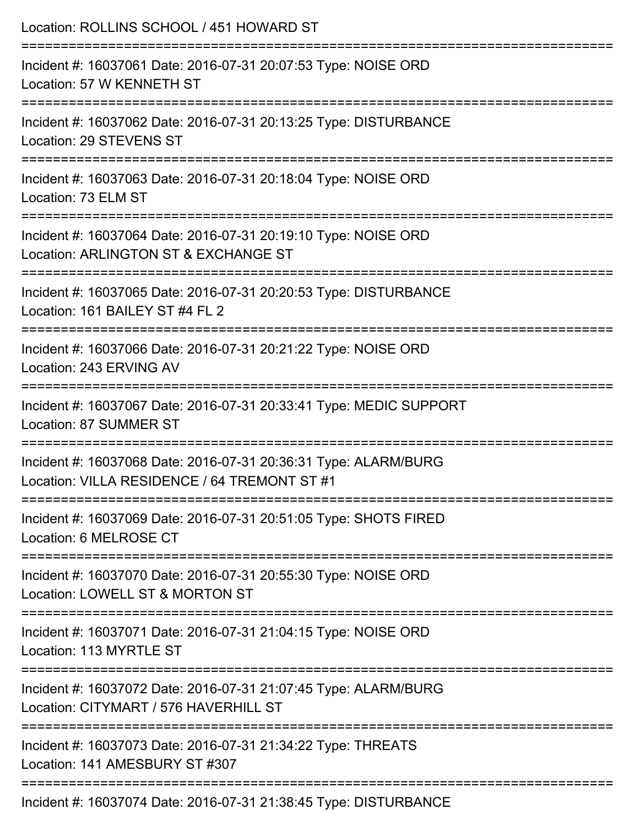| Location: ROLLINS SCHOOL / 451 HOWARD ST                                                                                                                |
|---------------------------------------------------------------------------------------------------------------------------------------------------------|
| Incident #: 16037061 Date: 2016-07-31 20:07:53 Type: NOISE ORD<br>Location: 57 W KENNETH ST                                                             |
| Incident #: 16037062 Date: 2016-07-31 20:13:25 Type: DISTURBANCE<br>Location: 29 STEVENS ST                                                             |
| Incident #: 16037063 Date: 2016-07-31 20:18:04 Type: NOISE ORD<br>Location: 73 ELM ST                                                                   |
| Incident #: 16037064 Date: 2016-07-31 20:19:10 Type: NOISE ORD<br>Location: ARLINGTON ST & EXCHANGE ST                                                  |
| Incident #: 16037065 Date: 2016-07-31 20:20:53 Type: DISTURBANCE<br>Location: 161 BAILEY ST #4 FL 2<br>===============================                  |
| Incident #: 16037066 Date: 2016-07-31 20:21:22 Type: NOISE ORD<br>Location: 243 ERVING AV                                                               |
| Incident #: 16037067 Date: 2016-07-31 20:33:41 Type: MEDIC SUPPORT<br>Location: 87 SUMMER ST                                                            |
| Incident #: 16037068 Date: 2016-07-31 20:36:31 Type: ALARM/BURG<br>Location: VILLA RESIDENCE / 64 TREMONT ST #1<br>.----------------------------------- |
| Incident #: 16037069 Date: 2016-07-31 20:51:05 Type: SHOTS FIRED<br>Location: 6 MELROSE CT                                                              |
| Incident #: 16037070 Date: 2016-07-31 20:55:30 Type: NOISE ORD<br>Location: LOWELL ST & MORTON ST                                                       |
| ======================================<br>Incident #: 16037071 Date: 2016-07-31 21:04:15 Type: NOISE ORD<br>Location: 113 MYRTLE ST                     |
| Incident #: 16037072 Date: 2016-07-31 21:07:45 Type: ALARM/BURG<br>Location: CITYMART / 576 HAVERHILL ST                                                |
| Incident #: 16037073 Date: 2016-07-31 21:34:22 Type: THREATS<br>Location: 141 AMESBURY ST #307                                                          |
| Incident #: 16037074 Date: 2016-07-31 21:38:45 Type: DISTURBANCE                                                                                        |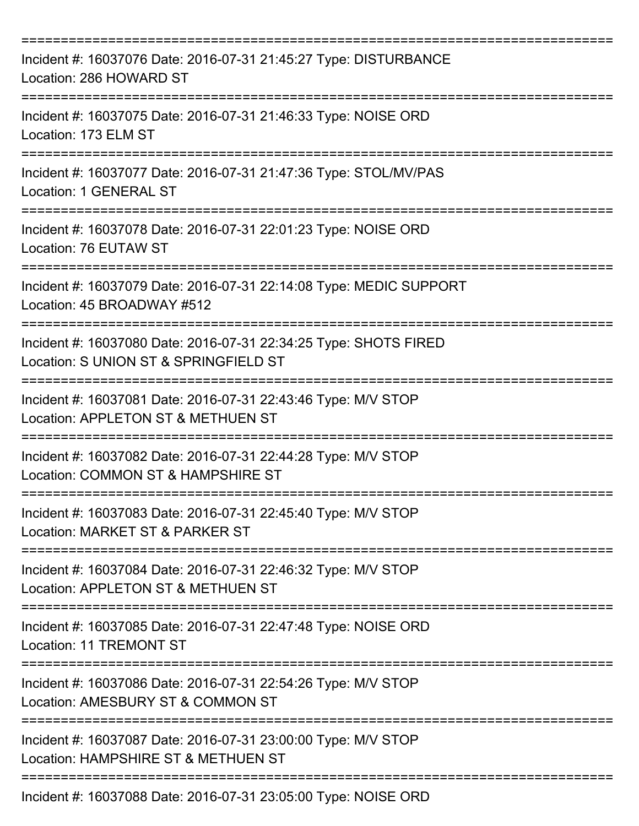| Incident #: 16037076 Date: 2016-07-31 21:45:27 Type: DISTURBANCE<br>Location: 286 HOWARD ST               |
|-----------------------------------------------------------------------------------------------------------|
| Incident #: 16037075 Date: 2016-07-31 21:46:33 Type: NOISE ORD<br>Location: 173 ELM ST                    |
| Incident #: 16037077 Date: 2016-07-31 21:47:36 Type: STOL/MV/PAS<br>Location: 1 GENERAL ST                |
| Incident #: 16037078 Date: 2016-07-31 22:01:23 Type: NOISE ORD<br>Location: 76 EUTAW ST                   |
| Incident #: 16037079 Date: 2016-07-31 22:14:08 Type: MEDIC SUPPORT<br>Location: 45 BROADWAY #512          |
| Incident #: 16037080 Date: 2016-07-31 22:34:25 Type: SHOTS FIRED<br>Location: S UNION ST & SPRINGFIELD ST |
| Incident #: 16037081 Date: 2016-07-31 22:43:46 Type: M/V STOP<br>Location: APPLETON ST & METHUEN ST       |
| Incident #: 16037082 Date: 2016-07-31 22:44:28 Type: M/V STOP<br>Location: COMMON ST & HAMPSHIRE ST       |
| Incident #: 16037083 Date: 2016-07-31 22:45:40 Type: M/V STOP<br>Location: MARKET ST & PARKER ST          |
| Incident #: 16037084 Date: 2016-07-31 22:46:32 Type: M/V STOP<br>Location: APPLETON ST & METHUEN ST       |
| Incident #: 16037085 Date: 2016-07-31 22:47:48 Type: NOISE ORD<br><b>Location: 11 TREMONT ST</b>          |
| Incident #: 16037086 Date: 2016-07-31 22:54:26 Type: M/V STOP<br>Location: AMESBURY ST & COMMON ST        |
| Incident #: 16037087 Date: 2016-07-31 23:00:00 Type: M/V STOP<br>Location: HAMPSHIRE ST & METHUEN ST      |
| Incident #: 16037088 Date: 2016-07-31 23:05:00 Type: NOISE ORD                                            |